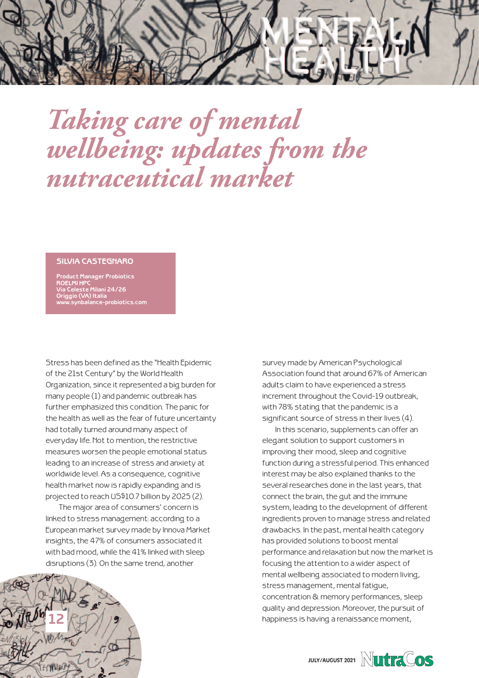

## *Taking care of mental wellbeing: updates from the nutraceutical market*

## **SILVIA CASTEGNARO**

**Product Manager Probiotics ROELMI HPC Via Celeste Milani 24/26 Origgio (VA) Italia www.synbalance-probiotics.com**

Stress has been defined as the "Health Epidemic of the 21st Century" by the World Health Organization, since it represented a big burden for many people (1) and pandemic outbreak has further emphasized this condition. The panic for the health as well as the fear of future uncertainty had totally turned around many aspect of everyday life. Not to mention, the restrictive measures worsen the people emotional status leading to an increase of stress and anxiety at worldwide level. As a consequence, cognitive health market now is rapidly expanding and is projected to reach US\$10.7 billion by 2025 (2).

The major area of consumers' concern is linked to stress management: according to a European market survey made by Innova Market insights, the 47% of consumers associated it with bad mood, while the 41% linked with sleep disruptions (3). On the same trend, another



survey made by American Psychological Association found that around 67% of American adults claim to have experienced a stress increment throughout the Covid-19 outbreak, with 78% stating that the pandemic is a significant source of stress in their lives (4).

In this scenario, supplements can offer an elegant solution to support customers in improving their mood, sleep and cognitive function during a stressful period. This enhanced interest may be also explained thanks to the several researches done in the last years, that connect the brain, the gut and the immune system, leading to the development of different ingredients proven to manage stress and related drawbacks. In the past, mental health category has provided solutions to boost mental performance and relaxation but now the market is focusing the attention to a wider aspect of mental wellbeing associated to modern living, stress management, mental fatigue, concentration & memory performances, sleep quality and depression. Moreover, the pursuit of happiness is having a renaissance moment,

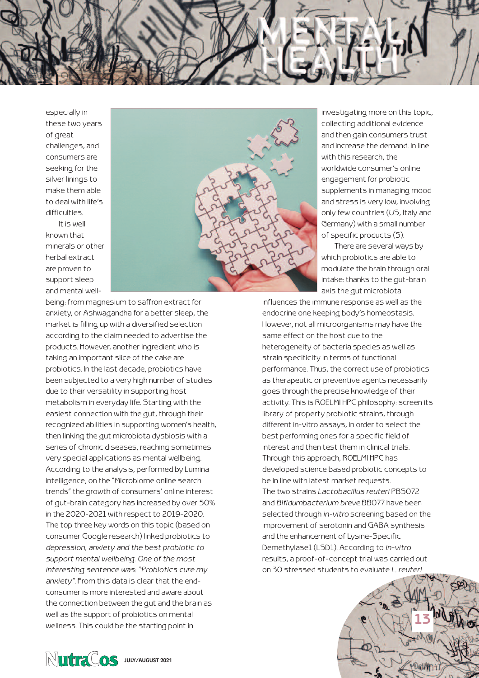especially in these two years of great challenges, and consumers are seeking for the silver linings to make them able to deal with life's difficulties.

It is well known that minerals or other herbal extract are proven to support sleep and mental well-



investigating more on this topic, collecting additional evidence and then gain consumers trust and increase the demand. In line with this research, the worldwide consumer's online engagement for probiotic supplements in managing mood and stress is very low, involving only few countries (US, Italy and Germany) with a small number of specific products (5).

There are several ways by which probiotics are able to modulate the brain through oral intake: thanks to the gut-brain axis the gut microbiota

being: from magnesium to saffron extract for anxiety, or Ashwagandha for a better sleep, the market is filling up with a diversified selection according to the claim needed to advertise the products. However, another ingredient who is taking an important slice of the cake are probiotics. In the last decade, probiotics have been subjected to a very high number of studies due to their versatility in supporting host metabolism in everyday life. Starting with the easiest connection with the gut, through their recognized abilities in supporting women's health, then linking the gut microbiota dysbiosis with a series of chronic diseases, reaching sometimes very special applications as mental wellbeing. According to the analysis, performed by Lumina intelligence, on the "Microbiome online search trends" the growth of consumers' online interest of gut-brain category has increased by over 50% in the 2020-2021 with respect to 2019-2020. The top three key words on this topic (based on consumer Google research) linked probiotics to *depression, anxiety and the best probiotic to support mental wellbeing. One of the most interesting sentence was: "Probiotics cure my anxiety"*. From this data is clear that the endconsumer is more interested and aware about the connection between the gut and the brain as well as the support of probiotics on mental wellness. This could be the starting point in

influences the immune response as well as the endocrine one keeping body's homeostasis. However, not all microorganisms may have the same effect on the host due to the heterogeneity of bacteria species as well as strain specificity in terms of functional performance. Thus, the correct use of probiotics as therapeutic or preventive agents necessarily goes through the precise knowledge of their activity. This is ROELMI HPC philosophy: screen its library of property probiotic strains, through different in-vitro assays, in order to select the best performing ones for a specific field of interest and then test them in clinical trials. Through this approach, ROELMI HPC has developed science based probiotic concepts to be in line with latest market requests. The two strains *Lactobacillus reuteri* PBS072 and *Bifidumbacterium breve* BB077 have been selected through *in-vitro* screening based on the improvement of serotonin and GABA synthesis and the enhancement of Lysine-Specific Demethylase1 (LSD1). According to *in-vitro* results, a proof-of-concept trial was carried out on 30 stressed students to evaluate *L. reuteri*

**13**